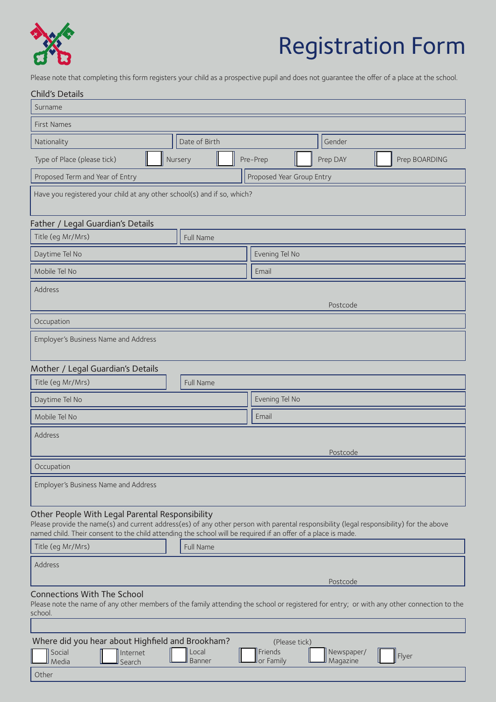

# Registration Form

Please note that completing this form registers your child as a prospective pupil and does not guarantee the offer of a place at the school.

| <b>Child's Details</b>                                                                                                                                                                                                                                                                                       |                        |                                       |                        |               |  |
|--------------------------------------------------------------------------------------------------------------------------------------------------------------------------------------------------------------------------------------------------------------------------------------------------------------|------------------------|---------------------------------------|------------------------|---------------|--|
| Surname                                                                                                                                                                                                                                                                                                      |                        |                                       |                        |               |  |
| <b>First Names</b>                                                                                                                                                                                                                                                                                           |                        |                                       |                        |               |  |
| Nationality                                                                                                                                                                                                                                                                                                  | Date of Birth          |                                       | Gender                 |               |  |
| Type of Place (please tick)                                                                                                                                                                                                                                                                                  | Nursery                | Pre-Prep                              | Prep DAY               | Prep BOARDING |  |
| Proposed Term and Year of Entry<br>Proposed Year Group Entry                                                                                                                                                                                                                                                 |                        |                                       |                        |               |  |
| Have you registered your child at any other school(s) and if so, which?                                                                                                                                                                                                                                      |                        |                                       |                        |               |  |
| Father / Legal Guardian's Details                                                                                                                                                                                                                                                                            |                        |                                       |                        |               |  |
| Title (eg Mr/Mrs)                                                                                                                                                                                                                                                                                            | Full Name              |                                       |                        |               |  |
| Daytime Tel No                                                                                                                                                                                                                                                                                               |                        | Evening Tel No                        |                        |               |  |
| Mobile Tel No                                                                                                                                                                                                                                                                                                |                        | Email                                 |                        |               |  |
| Address<br>Postcode                                                                                                                                                                                                                                                                                          |                        |                                       |                        |               |  |
| Occupation                                                                                                                                                                                                                                                                                                   |                        |                                       |                        |               |  |
| Employer's Business Name and Address                                                                                                                                                                                                                                                                         |                        |                                       |                        |               |  |
| Mother / Legal Guardian's Details                                                                                                                                                                                                                                                                            |                        |                                       |                        |               |  |
| Title (eg Mr/Mrs)                                                                                                                                                                                                                                                                                            | Full Name              |                                       |                        |               |  |
| Daytime Tel No                                                                                                                                                                                                                                                                                               |                        | Evening Tel No                        |                        |               |  |
| Mobile Tel No                                                                                                                                                                                                                                                                                                |                        | Email                                 |                        |               |  |
| Address<br>Postcode                                                                                                                                                                                                                                                                                          |                        |                                       |                        |               |  |
| Occupation                                                                                                                                                                                                                                                                                                   |                        |                                       |                        |               |  |
| Employer's Business Name and Address                                                                                                                                                                                                                                                                         |                        |                                       |                        |               |  |
| Other People With Legal Parental Responsibility<br>Please provide the name(s) and current address(es) of any other person with parental responsibility (legal responsibility) for the above<br>named child. Their consent to the child attending the school will be required if an offer of a place is made. |                        |                                       |                        |               |  |
| Title (eg Mr/Mrs)                                                                                                                                                                                                                                                                                            | Full Name              |                                       |                        |               |  |
| Address                                                                                                                                                                                                                                                                                                      |                        |                                       | Postcode               |               |  |
| <b>Connections With The School</b><br>Please note the name of any other members of the family attending the school or registered for entry; or with any other connection to the<br>school.                                                                                                                   |                        |                                       |                        |               |  |
|                                                                                                                                                                                                                                                                                                              |                        |                                       |                        |               |  |
| Where did you hear about Highfield and Brookham?<br>Social<br>Internet<br>Media<br>Search<br>Other                                                                                                                                                                                                           | Local<br><b>Banner</b> | (Please tick)<br>Friends<br>or Family | Newspaper/<br>Magazine | Flyer         |  |